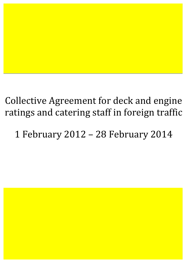# Collective Agreement for deck and engine ratings and catering staff in foreign traffic

1 February 2012 – 28 February 2014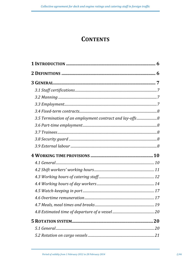# **CONTENTS**

| 3.5 Termination of an employment contract and lay-offs8 |  |
|---------------------------------------------------------|--|
|                                                         |  |
|                                                         |  |
|                                                         |  |
|                                                         |  |
|                                                         |  |
|                                                         |  |
|                                                         |  |
|                                                         |  |
|                                                         |  |
|                                                         |  |
|                                                         |  |
|                                                         |  |
|                                                         |  |
|                                                         |  |
|                                                         |  |
|                                                         |  |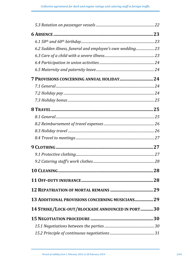| 6.2 Sudden illness, funeral and employee's own wedding 23 |    |
|-----------------------------------------------------------|----|
|                                                           |    |
|                                                           |    |
|                                                           |    |
|                                                           |    |
|                                                           |    |
|                                                           |    |
|                                                           |    |
|                                                           |    |
|                                                           |    |
|                                                           |    |
|                                                           |    |
|                                                           |    |
|                                                           |    |
|                                                           |    |
|                                                           | 28 |
|                                                           |    |
|                                                           |    |
|                                                           |    |
| 13 ADDITIONAL PROVISIONS CONCERNING MUSICIANS29           |    |
| 14 STRIKE/LOCK-OUT/BLOCKADE ANNOUNCED IN PORT30           |    |
|                                                           |    |
|                                                           |    |
|                                                           |    |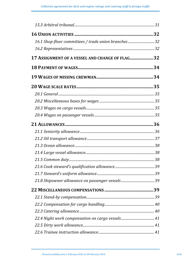| 16.1 Shop-floor committees / trade union branches  32 |  |
|-------------------------------------------------------|--|
|                                                       |  |
| 17 ASSIGNMENT OF A VESSEL AND CHANGE OF FLAG 32       |  |
|                                                       |  |
|                                                       |  |
|                                                       |  |
|                                                       |  |
|                                                       |  |
|                                                       |  |
|                                                       |  |
|                                                       |  |
|                                                       |  |
|                                                       |  |
|                                                       |  |
|                                                       |  |
|                                                       |  |
|                                                       |  |
|                                                       |  |
|                                                       |  |
|                                                       |  |
|                                                       |  |
|                                                       |  |
|                                                       |  |
|                                                       |  |
|                                                       |  |
|                                                       |  |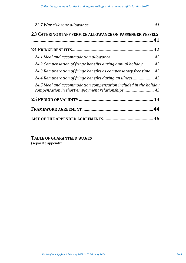| 23 CATERING STAFF SERVICE ALLOWANCE ON PASSENGER VESSELS           |
|--------------------------------------------------------------------|
|                                                                    |
|                                                                    |
|                                                                    |
| 24.2 Compensation of fringe benefits during annual holiday42       |
| 24.3 Remuneration of fringe benefits as compensatory free time  42 |
| 24.4 Remuneration of fringe benefits during an illness 43          |
| 24.5 Meal and accommodation compensation included in the holiday   |
|                                                                    |
|                                                                    |
|                                                                    |

TABLE OF GUARANTEED WAGES (separate appendix)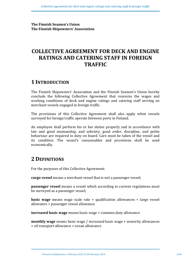**The Finnish Seamen's Union The Finnish Shipowners' Association** 

# **COLLECTIVE AGREEMENT FOR DECK AND ENGINE RATINGS AND CATERING STAFF IN FOREIGN TRAFFIC**

# **1 INTRODUCTION**

The Finnish Shipowners' Association and the Finnish Seamen's Union hereby conclude the following Collective Agreement that concerns the wages and working conditions of deck and engine ratings and catering staff serving on merchant vessels engaged in foreign traffic.

The provisions of this Collective Agreement shall also apply when vessels surveyed for foreign traffic operate between ports in Finland.

An employee shall perform his or her duties properly and in accordance with law and good seamanship, and sobriety, good order, discipline, and polite behaviour are required in duty on board. Care must be taken of the vessel and its condition. The vessel's consumables and provisions shall be used economically.

# **2 DEFINITIONS**

For the purposes of this Collective Agreement:

**cargo vessel** means a merchant vessel that is not a passenger vessel;

**passenger vessel** means a vessel which according to current regulations must be surveyed as a passenger vessel;

**basic wage** means wage scale rate + qualification allowances + large vessel allowance + passenger vessel allowance

**increased basic wage** means basic wage + common duty allowance

**monthly wage** means basic wage / increased basic wage + seniority allowances + oil transport allowance + ocean allowance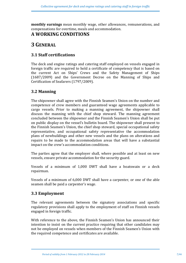**monthly earnings** mean monthly wage, other allowances, remunerations, and compensations for overtime, meals and accommodation.

# **A WORKING CONDITIONS**

# **3 GENERAL**

# **3.1 Staff certifications**

The deck and engine ratings and catering staff employed on vessels engaged in foreign traffic are required to hold a certificate of competency that is based on the current Act on Ships' Crews and the Safety Management of Ships  $(1687/2009)$  and the Government Decree on the Manning of Ships and Certification of Seafarers (1797/2009).

# **3.2 Manning**

The shipowner shall agree with the Finnish Seamen's Union on the number and competence of crew members and guaranteed wage agreements applicable to cargo vessels. Prior to making a manning agreement, the shipowner shall discuss the manning with the chief shop steward. The manning agreement concluded between the shipowner and the Finnish Seamen's Union shall be put on public display on the vessel's bulletin board. The shipowner shall present to the Finnish Seamen's Union, the chief shop steward, special occupational safety representative, and occupational safety representative the accommodation plans of newbuildings and other new vessels and the plans on alterations and repairs to be made to the accommodation areas that will have a substantial impact on the crew's accommodation conditions.

The parties agree that the employer shall, where possible and at least on new vessels, ensure private accommodation for the security guard.

Vessels of a minimum of 1,000 DWT shall have a boatswain or a deck repairman.

Vessels of a minimum of 6,000 DWT shall have a carpenter, or one of the able seamen shall be paid a carpenter's wage.

# **3.3 Employment**

The relevant agreements between the signatory associations and specific regulatory provisions shall apply to the employment of staff on Finnish vessels engaged in foreign traffic.

With reference to the above, the Finnish Seamen's Union has announced their intention to insist on the current practice requiring that other candidates may not be employed on vessels when members of the Finnish Seamen's Union with the required competence and certificates are available.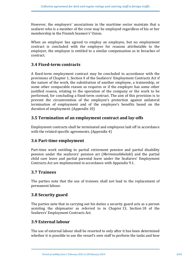However, the employers' associations in the maritime sector maintain that a seafarer who is a member of the crew may be employed regardless of his or her membership in the Finnish Seamen's' Union.

When an employer has agreed to employ an employee, but no employment contract is concluded with the employee for reasons attributable to the employer, the employee is entitled to a similar compensation as in breaches of contract.

### **3.4 Fixed-term contracts**

A fixed-term employment contract may be concluded in accordance with the provisions of Chapter 1, Section 4 of the Seafarers' Employment Contracts Act if the nature of the work, the substitution of another employee, a traineeship, or some other comparable reason so requires or if the employer has some other justified reason, relating to the operation of the company or the work to be performed, for concluding a fixed-term contract. The aim of this provision is to prevent the circumvention of the employee's protection against unilateral termination of employment and of the employee's benefits based on the duration of employment. (Appendix 10)

# **3.5 Termination of an employment contract and lay-offs**

Employment contracts shall be terminated and employees laid off in accordance with the related specific agreements.  $(Appendix 4)$ 

# **3.6 Part-time employment**

Part-time work entitling to partial retirement pension and partial disability pension under the seafarers' pension act (*Merimieseläkelaki*) and the partial child care leave and partial parental leave under the Seafarers' Employment Contracts Act are implemented in accordance with Appendix 9.1.

# **3.7 Trainees**

The parties note that the use of trainees shall not lead to the replacement of permanent labour.

# **3.8 Security guard**

The parties note that in carrying out his duties a security guard acts as a person assisting the shipmaster as referred to in Chapter 13, Section 18 of the Seafarers' Employment Contracts Act.

# **3.9 External labour**

The use of external labour shall be resorted to only after it has been determined whether it is possible to use the vessel's own staff to perform the tasks and how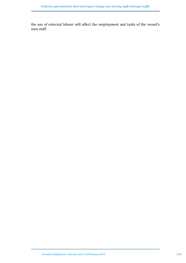the use of external labour will affect the employment and tasks of the vessel's own staff.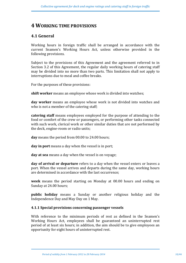# **4 WORKING TIME PROVISIONS**

# **4.1 General**

Working hours in foreign traffic shall be arranged in accordance with the current Seamen's Working Hours Act, unless otherwise provided in the following provisions.

Subject to the provisions of this Agreement and the agreement referred to in Section 3.2 of this Agreement, the regular daily working hours of catering staff may be divided into no more than two parts. This limitation shall not apply to interruptions due to meal and coffee breaks.

For the purposes of these provisions:

**shift worker** means an employee whose work is divided into watches;

**day worker** means an employee whose work is not divided into watches and who is not a member of the catering staff;

**catering staff** means employees employed for the purpose of attending to the food or comfort of the crew or passengers, or performing other tasks connected with such work, clerical work or other similar duties that are not performed by the deck, engine-room or radio units;

**day** means the period from 00.00 to 24.00 hours;

**day in port** means a day when the vessel is in port;

**day at sea** means a day when the vessel is on voyage;

**day of arrival or departure** refers to a day when the vessel enters or leaves a port. When the vessel arrives and departs during the same day, working hours are determined in accordance with the last occurrence;

**week** means the period starting on Monday at 00.00 hours and ending on Sunday at 24.00 hours;

**public** holiday means a Sunday or another religious holiday and the Independence Day and May Day on 1 May.

### **4.1.1 Special provisions concerning passenger vessels**

With reference to the minimum periods of rest as defined in the Seamen's Working Hours Act, employees shall be guaranteed an uninterrupted rest period of at least six hours; in addition, the aim should be to give employees an opportunity for eight hours of uninterrupted rest.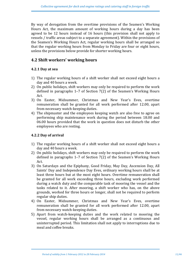By way of derogation from the overtime provisions of the Seamen's Working Hours Act, the maximum amount of working hours during a day has been agreed to be 12 hours instead of 16 hours (this provision shall not apply to vessels / traffic areas subject to a separate agreement). Within the provisions of the Seamen's Working Hours Act, regular working hours shall be arranged so that the regular working hours from Monday to Friday are four or eight hours, unless the provisions below provide for shorter working hours.

### **4.2 Shift workers' working hours**

### **4.2.1 Day at sea**

- 1) The regular working hours of a shift worker shall not exceed eight hours a day and 40 hours a week.
- 2) On public holidays, shift workers may only be required to perform the work defined in paragraphs  $1-7$  of Section  $7(2)$  of the Seamen's Working Hours Act.
- 3) On Easter, Midsummer, Christmas and New Year's Eves, overtime remuneration shall be granted for all work performed after 12.00, apart from necessary watch-keeping duties.
- 4) The shipmaster and the employees keeping watch are also free to agree on performing ship maintenance work during the period between 18.00 and 06.00 hours provided that the work in question does not disturb the other employees who are resting.

### **4.2.2 Day of arrival**

- 1) The regular working hours of a shift worker shall not exceed eight hours a day and 40 hours a week.
- 2) On public holidays, shift workers may only be required to perform the work defined in paragraphs  $1-7$  of Section 7(2) of the Seamen's Working Hours Act.
- 3) On Saturdays and the Epiphany, Good Friday, May Day, Ascension Day, All Saints' Day and Independence Day Eves, ordinary working hours shall be at least three hours but at the most eight hours. Overtime remuneration shall be granted for all work exceeding three hours, excluding work performed during a watch duty and the comparable task of mooring the vessel and the tasks related to it. After mooring, a shift worker who has, on the above grounds, worked for three hours or longer, shall not be required to perform regular ship duties.
- 4) On Easter, Midsummer, Christmas and New Year's Eves, overtime remuneration shall be granted for all work performed after 12.00, apart from necessary watch-keeping duties.
- 5) Apart from watch-keeping duties and the work related to mooring the vessel, regular working hours shall be arranged as a continuous and uninterrupted period. This limitation shall not apply to interruptions due to meal and coffee breaks.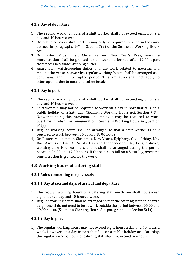### **4.2.3 Day of departure**

- 1) The regular working hours of a shift worker shall not exceed eight hours a day and 40 hours a week.
- 2) On public holidays, shift workers may only be required to perform the work defined in paragraphs  $1-7$  of Section  $7(2)$  of the Seamen's Working Hours Act.
- 3) On Easter, Midsummer, Christmas and New Year's Eves, overtime remuneration shall be granted for all work performed after 12.00, apart from necessary watch-keeping duties.
- 4) Apart from watch-keeping duties and the work related to mooring and making the vessel seaworthy, regular working hours shall be arranged as a continuous and uninterrupted period. This limitation shall not apply to interruptions due to meal and coffee breaks.

### **4.2.4 Day in port**

- 1) The regular working hours of a shift worker shall not exceed eight hours a day and 40 hours a week.
- 2) Shift workers may not be required to work on a day in port that falls on a public holiday or a Saturday. (Seamen's Working Hours Act, Section 7(3).) Notwithstanding this provision, an employee may be required to work overtime in return for remuneration. (Seamen's Working Hours Act, Section 9(1).)
- 3) Regular working hours shall be arranged so that a shift worker is only required to work between 06.00 and 18.00 hours.
- 4) On Easter, Midsummer, Christmas, New Year's, Epiphany, Good Friday, May Day, Ascension Day, All Saints' Day and Independence Day Eves, ordinary working time is three hours and it shall be arranged during the period between 06.00 and 12.00 hours. If the said eves fall on a Saturday, overtime remuneration is granted for the work.

### **4.3 Working hours of catering staff**

### **4.3.1 Rules concerning cargo vessels**

### **4.3.1.1 Day at sea and days of arrival and departure**

- 1) The regular working hours of a catering staff employee shall not exceed eight hours a day and 40 hours a week.
- 2) Regular working hours shall be arranged so that the catering staff on board a cargo vessel do not need to be at work outside the period between 06.00 and 19.00 hours. (Seamen's Working Hours Act, paragraph 4 of Section 5(1))

### **4.3.1.2 Day in port**

1) The regular working hours may not exceed eight hours a day and 40 hours a week. However, on a day in port that falls on a public holiday or a Saturday, the regular working hours of catering staff shall not exceed five hours.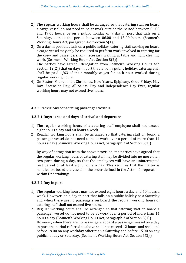- 2) The regular working hours shall be arranged so that catering staff on board a cargo vessel do not need to be at work outside the period between 06.00 and 19.00 hours, or on a public holiday or a day in port that falls on a Saturday, outside the period between 06.00 and 15.00 hours. (Seamen's Working Hours Act, paragraph  $4$  of Section  $5(1)$ )
- 3) On a day in port that falls on a public holiday, catering staff serving on board a cargo vessel may only be required to perform work involved in catering for the crew and passengers, any necessary waiting at table and light cleaning work. (Seamen's Working Hours Act, Section 8(2)) The parties have agreed (derogation from Seamen's Working Hours Act,

Section  $12(2)$ ) that on days in port that fall on a public holiday, catering staff shall be paid  $1/63$  of their monthly wages for each hour worked during regular working hours.

4) On Easter, Midsummer, Christmas, New Year's, Epiphany, Good Friday, May Day, Ascension Day, All Saints' Day and Independence Day Eves, regular working hours may not exceed five hours.

### **4.3.2 Provisions concerning passenger vessels**

### **4.3.2.1 Days at sea and days of arrival and departure**

- 1) The regular working hours of a catering staff employee shall not exceed eight hours a day and 40 hours a week.
- 2) Regular working hours shall be arranged so that catering staff on board a passenger vessel do not need to be at work over a period of more than 14 hours a day (Seamen's Working Hours Act, paragraph 3 of Section 5(1)).

By way of derogation from the above provision, the parties have agreed that the regular working hours of catering staff may be divided into no more than two parts during a day, so that the employees will have an uninterrupted rest period of at least eight hours a day. This requires that the matter is handled on board the vessel in the order defined in the Act on Co-operation within Undertakings.

### **4.3.2.2 Day in port**

- 1) The regular working hours may not exceed eight hours a day and 40 hours a week. However, on a day in port that falls on a public holiday or a Saturday and when there are no passengers on board, the regular working hours of catering staff shall not exceed five hours.
- 2) Regular working hours shall be arranged so that catering staff on board a passenger vessel do not need to be at work over a period of more than 14 hours a day (Seamen's Working Hours Act, paragraph 3 of Section 5(1)). However, when there are no passengers aboard a passenger vessel on a day in port, the period referred to above shall not exceed 12 hours and shall end before 19.00 on any weekday other than a Saturday and before 15.00 on any public holiday or Saturday. (Seamen's Working Hours Act, Section 5(2).)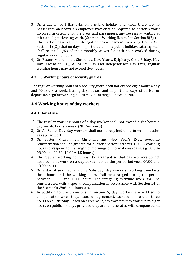- 3) On a day in port that falls on a public holiday and when there are no passengers on board, an employee may only be required to perform work involved in catering for the crew and passengers, any necessary waiting at table and light cleaning work. (Seamen's Working Hours Act, Section 8(2).) The parties have agreed (derogation from Seamen's Working Hours Act, Section  $12(2)$ ) that on days in port that fall on a public holiday, catering staff shall be paid  $1/63$  of their monthly wages for each hour worked during regular working hours.
- 4) On Easter, Midsummer, Christmas, New Year's, Epiphany, Good Friday, May Day, Ascension Day, All Saints' Day and Independence Day Eves, regular working hours may not exceed five hours.

### **4.3.2.3 Working hours of security guards**

The regular working hours of a security guard shall not exceed eight hours a day and 40 hours a week. During days at sea and in port and days of arrival or departure, regular working hours may be arranged in two parts.

### **4.4 Working hours of day workers**

### **4.4.1 Day at sea**

- 1) The regular working hours of a day worker shall not exceed eight hours a day and 40 hours a week. (NB: Section 5).
- 2) On All Saints' Day, day workers shall not be required to perform ship duties as regular work.
- 3) On Easter, Midsummer, Christmas and New Year's Eves, overtime remuneration shall be granted for all work performed after 12.00. (Working hours correspond to the length of mornings on normal weekdays, e.g. 07.00-08.00 and  $08.30-12.00 = 4.5$  hours.)
- 4) The regular working hours shall be arranged so that day workers do not need to be at work on a day at sea outside the period between 06.00 and 18.00 hours.
- 5) On a day at sea that falls on a Saturday, day workers' working time lasts three hours and the working hours shall be arranged during the period between 06.00 and 12.00 hours. The foregoing overtime work shall be remunerated with a special compensation in accordance with Section 14 of the Seamen's Working Hours Act.
- 6) In addition to the provisions in Section 5, day workers are entitled to compensation when they, based on agreement, work for more than three hours on a Saturday. Based on agreement, day workers may work up to eight hours on public holidays provided they are remunerated with compensation.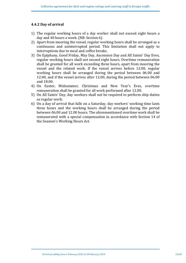### **4.4.2 Day of arrival**

- 1) The regular working hours of a day worker shall not exceed eight hours a day and 40 hours a week. (NB: Section 6).
- 2) Apart from mooring the vessel, regular working hours shall be arranged as a continuous and uninterrupted period. This limitation shall not apply to interruptions due to meal and coffee breaks.
- 3) On Epiphany, Good Friday, May Day, Ascension Day and All Saints' Day Eves, regular working hours shall not exceed eight hours. Overtime remuneration shall be granted for all work exceeding three hours, apart from mooring the vessel and the related work. If the vessel arrives before 12.00, regular working hours shall be arranged during the period between 06.00 and 12.00, and if the vessel arrives after 12.00, during the period between 06.00 and 18.00.
- 4) On Easter, Midsummer, Christmas and New Year's Eves, overtime remuneration shall be granted for all work performed after 12.00.
- 5) On All Saints' Day, day workers shall not be required to perform ship duties as regular work.
- 6) On a day of arrival that falls on a Saturday, day workers' working time lasts three hours and the working hours shall be arranged during the period between 06.00 and 12.00 hours. The aforementioned overtime work shall be remunerated with a special compensation in accordance with Section 14 of the Seamen's Working Hours Act.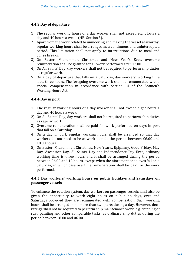### **4.4.3 Day of departure**

- 1) The regular working hours of a day worker shall not exceed eight hours a day and 40 hours a week. (NB: Section 5).
- 2) Apart from the work related to unmooring and making the vessel seaworthy, regular working hours shall be arranged as a continuous and uninterrupted period. This limitation shall not apply to interruptions due to meal and coffee breaks.
- 3) On Easter, Midsummer, Christmas and New Year's Eves, overtime remuneration shall be granted for all work performed after 12.00.
- 4) On All Saints' Day, day workers shall not be required to perform ship duties as regular work.
- 5) On a day of departure that falls on a Saturday, day workers' working time lasts three hours. The foregoing overtime work shall be remunerated with a special compensation in accordance with Section 14 of the Seamen's Working Hours Act.

### **4.4.4 Day in port**

- 1) The regular working hours of a day worker shall not exceed eight hours a day and 40 hours a week.
- 2) On All Saints' Day, day workers shall not be required to perform ship duties as regular work.
- 3) Overtime remuneration shall be paid for work performed on days in port that fall on a Saturday.
- 4) On a day in port, regular working hours shall be arranged so that day workers do not need to be at work outside the period between 06.00 and 18.00 hours.
- 5) On Easter, Midsummer, Christmas, New Year's, Epiphany, Good Friday, May Day, Ascension Day, All Saints' Day and Independence Day Eves, ordinary working time is three hours and it shall be arranged during the period between 06.00 and 12 hours, except when the aforementioned eves fall on a Saturday, in which case overtime remuneration shall be paid for the work performed.

### **4.4.5 Day workers' working hours on public holidays and Saturdays on passenger vessels**

To enhance the rotation system, day workers on passenger vessels shall also be given the opportunity to work eight hours on public holidays, eves and Saturdays provided they are remunerated with compensation. Such working hours shall be arranged in no more than two parts during a day. However, deck ratings shall not be required to perform ship maintenance work, e.g. chipping of rust, painting and other comparable tasks, as ordinary ship duties during the period between 18.00 and 06.00.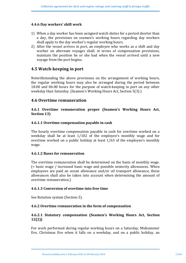#### **4.4.6 Day workers' shift work**

- 1) When a day worker has been assigned watch duties for a period shorter than a day, the provisions on seamen's working hours regarding day workers shall apply to the day worker's regular working hours.
- 2) After the vessel arrives in port, an employee who works as a shift and day worker on alternate voyages shall, in terms of compensation provisions, maintain the position he or she had when the vessel arrived until a new voyage from the port begins.

### **4.5 Watch-keeping in port**

Notwithstanding the above provisions on the arrangement of working hours, the regular working hours may also be arranged during the period between 18.00 and 06.00 hours for the purpose of watch-keeping in port on any other weekday than Saturday. (Seamen's Working Hours Act, Section 5(3).)

### **4.6 Overtime remuneration**

### **4.6.1 Overtime remuneration proper (Seamen's Working Hours Act, Section 13)**

#### **4.6.1.1 Overtime compensation payable in cash**

The hourly overtime compensation payable in cash for overtime worked on a weekday shall be at least  $1/102$  of the employee's monthly wage and for overtime worked on a public holiday at least  $1/63$  of the employee's monthly wage.

#### **4.6.1.2 Bases for remuneration**

The overtime remuneration shall be determined on the basis of monthly wage.  $($  = basic wage  $/$  increased basic wage and possible seniority allowances. When employees are paid an ocean allowance and/or oil transport allowance, these allowances shall also be taken into account when determining the amount of overtime remuneration.)

#### **4.6.1.3 Conversion of overtime into free time**

See Rotation system (Section 5).

### **4.6.2 Overtime remuneration in the form of compensation**

### **4.6.2.1 Statutory compensation (Seamen's Working Hours Act, Section 12(2))**

For work performed during regular working hours on a Saturday, Midsummer Eve, Christmas Eve when it falls on a weekday, and on a public holiday, an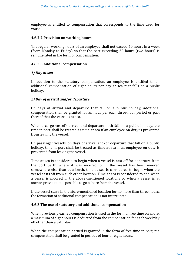employee is entitled to compensation that corresponds to the time used for work.

#### **4.6.2.2 Provision on working hours**

The regular working hours of an employee shall not exceed 40 hours in a week (from Monday to Friday) so that the part exceeding 38 hours (two hours) is remunerated in the form of compensation.

### **4.6.2.3 Additional compensation**

#### *1) Day at sea*

In addition to the statutory compensation, an employee is entitled to an additional compensation of eight hours per day at sea that falls on a public holiday.

#### *2) Day of arrival and/or departure*

On days of arrival and departure that fall on a public holiday, additional compensation shall be granted for an hour per each three-hour period or part thereof that the vessel is at sea.

When a cargo vessel's arrival and departure both fall on a public holiday, the time in port shall be treated as time at sea if an employee on duty is prevented from leaving the vessel.

On passenger vessels, on days of arrival and/or departure that fall on a public holiday, time in port shall be treated as time at sea if an employee on duty is prevented from leaving the vessel.

Time at sea is considered to begin when a vessel is cast off for departure from the port berth where it was moored, or if the vessel has been moored somewhere else than at a berth, time at sea is considered to begin when the vessel casts off from such other location. Time at sea is considered to end when a vessel is moored in the above-mentioned locations or when a vessel is at anchor provided it is possible to go ashore from the vessel.

If the vessel stays in the afore-mentioned location for no more than three hours, the formation of additional compensation is not interrupted.

#### **4.6.3** The use of statutory and additional compensation

When previously earned compensation is used in the form of free time on shore, a maximum of eight hours is deducted from the compensation for each weekday off other than a Saturday.

When the compensation earned is granted in the form of free time in port, the compensation shall be granted in periods of four or eight hours.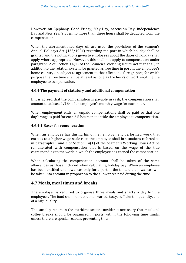However, on Epiphany, Good Friday, May Day, Ascension Day, Independence Day and New Year's Eves, no more than three hours shall be deducted from the compensation.

When the aforementioned days off are used, the provisions of the Seamen's Annual Holidays Act  $(433/1984)$  regarding the port in which holiday shall be granted and the notifications given to employees about the dates of holiday shall apply where appropriate. However, this shall not apply to compensation under paragraph 2 of Section 14(1) of the Seamen's Working Hours Act that shall, in addition to the rotation system, be granted as free time in port in the employee's home country or, subject to agreement to that effect, in a foreign port, for which purpose the free time shall be at least as long as the hours of work entitling the employee to compensation.

### **4.6.4** The payment of statutory and additional compensation

If it is agreed that the compensation is payable in cash, the compensation shall amount to at least  $1/164$  of an employee's monthly wage for each hour.

When employment ends, all unpaid compensations shall be paid so that one day's wage is paid for each 6.5 hours that entitle the employee to compensation.

### **4.6.4.1 Bases for remuneration**

When an employee has during his or her employment performed work that entitles to a higher wage scale rate, the employee shall in situations referred to in paragraphs 1 and 3 of Section  $14(1)$  of the Seamen's Working Hours Act be remunerated with compensation that is based on the wage of the title corresponding to the work in which the employee has earned the compensation.

When calculating the compensation, account shall be taken of the same allowances as those included when calculating holiday pay. When an employee has been entitled to allowances only for a part of the time, the allowances will be taken into account in proportion to the allowances paid during the time.

### **4.7 Meals, meal times and breaks**

The employer is required to organise three meals and snacks a day for the employees. The food shall be nutritional, varied, tasty, sufficient in quantity, and of a high quality.

The social partners in the maritime sector consider it necessary that meal and coffee breaks should be organised in ports within the following time limits, unless there are special reasons preventing this: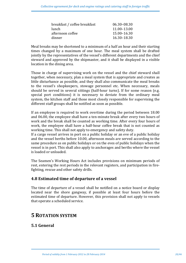| breakfast / coffee breakfast | 06.30-08.30 |
|------------------------------|-------------|
| lunch.                       | 11.00-13.00 |
| afternoon coffee             | 15.00-16.30 |
| dinner                       | 16.30-18.30 |

Meal breaks may be shortened to a minimum of a half an hour and their starting times changed by a maximum of one hour. The meal system shall be drafted jointly by the representatives of the vessel's different departments and the chief steward and approved by the shipmaster, and it shall be displayed in a visible location in the dining area.

Those in charge of supervising work on the vessel and the chief steward shall together, when necessary, plan a meal system that is appropriate and creates as little disturbance as possible, and they shall also communicate the meal breaks to the vessel's shopkeepers, stowage personnel etc. When necessary, meals should be served in several sittings (half-hour turns). If for some reason (e.g. special port conditions) it is necessary to deviate from the ordinary meal system, the kitchen staff and those most closely responsible for supervising the different staff groups shall be notified as soon as possible.

If an employee is required to work overtime during the period between 18.00 and 06.00, the employee shall have a ten-minute break after every two hours of work and the break shall be counted as working time. After every four hours of work, the employee shall have a half-hour coffee break that is not counted as working time. This shall not apply to emergency and safety duty.

If a cargo vessel arrives in port on a public holiday or an eve of a public holiday and the vessel berths before 10.00, afternoon meals are served according to the same procedure as on public holidays or on the eves of public holidays when the vessel is in port. This shall also apply to anchorages and berths where the vessel is loaded or unloaded.

The Seamen's Working Hours Act includes provisions on minimum periods of rest, entering the rest periods in the relevant registers, and participation in firefighting, rescue and other safety drills.

# **4.8 Estimated time of departure of a vessel**

The time of departure of a vessel shall be notified on a notice board or display located near the shore gangway, if possible at least four hours before the estimated time of departure. However, this provision shall not apply to vessels that operate a scheduled service.

# **5 ROTATION SYSTEM**

# **5.1 General**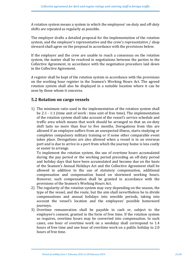A rotation system means a system in which the employees' on-duty and off-duty shifts are repeated as regularly as possible.

The employer drafts a detailed proposal for the implementation of the rotation system, and the employer's representative and the crew's representative / shop steward shall agree on the proposal in accordance with the provisions below.

If the employer and the crew are unable to reach a consensus on the rotation system, the matter shall be resolved in negotiations between the parties to the Collective Agreement, in accordance with the negotiation procedure laid down in the Collective Agreement.

A register shall be kept of the rotation system in accordance with the provisions on the working hour register in the Seamen's Working Hours Act. The agreed rotation system shall also be displayed in a suitable location where it can be seen by those whom it concerns.

### **5.2** Rotation on cargo vessels

1) The minimum ratio used in the implementation of the rotation system shall be  $2:1 - 1:1$  (time unit of work : time unit of free time). The implementation of the rotation system shall take account of the yessel's service schedule and traffic area which means that work should be arranged so that an on-duty shift lasts no more than four to five months. Derogations from this are allowed if an employee suffers from an unexpected illness, starts studying or completes compulsory military training or if some other comparable event takes place. Derogations are also allowed when a vessel is in an overseas port and is due to arrive in a port from which the journey home is less costly or easier to arrange.

To implement the rotation system, the use of overtime hours accumulated during the pay period or the working period preceding an off-duty period and holiday days that have been accumulated and become due on the basis of the Seamen's Annual Holidays Act and the Collective Agreement shall be allowed in addition to the use of statutory compensation, additional compensation and compensation based on shortened working hours. However, such compensation shall be granted in accordance with the provisions of the Seamen's Working Hours Act.

- 2) The regularity of the rotation system may vary depending on the season, the type of the vessel, and the route, but the aim shall nevertheless be to divide compensations and annual holidays into sensible periods, taking into account the vessel's location and the employees' possible homeward journeys.
- 3) Overtime remuneration shall be payable in cash or, subject to the employee's consent, granted in the form of free time. If the rotation system so requires, overtime hours may be converted into compensation. In such cases, one hour of overtime work on a weekday shall correspond to 1.4 hours of free time and one hour of overtime work on a public holiday to 2.0 hours of free time.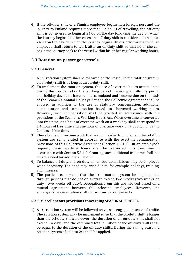4) If the off-duty shift of a Finnish employee begins in a foreign port and the journey to Finland requires more than 12 hours of travelling, the off-duty shift is considered to begin at  $24.00$  on the day following the day on which the journey begins. In other cases, the off-duty shift is considered to begin at 24.00 on the day on which the journey begins. Unless otherwise agreed. an employee shall return to work after an off-duty shift so that he or she can begin the journey back to the vessel within his or her regular working hours.

### **5.3** Rotation on passenger vessels

### **5.3.1 General**

- 1) A 1:1 rotation system shall be followed on the vessel. In the rotation system, an off-duty shift is as long as an on-duty shift.
- 2) To implement the rotation system, the use of overtime hours accumulated during the pay period or the working period preceding an off-duty period and holiday days that have been accumulated and become due on the basis of the Seamen's Annual Holidays Act and the Collective Agreement shall be allowed in addition to the use of statutory compensation, additional compensation and compensation based on shortened working hours. However, such compensation shall be granted in accordance with the provisions of the Seamen's Working Hours Act. When overtime is converted into free time, one hour of overtime work on a weekday shall correspond to 1.4 hours of free time and one hour of overtime work on a public holiday to 2 hours of free time.
- 3) Those hours of overtime work that are not needed to implement the rotation system are remunerated in accordance with the overtime remuneration provisions of this Collective Agreement (Section 4.6.1.1). On an employee's request, these overtime hours shall be converted into free time in accordance with Section 5.3.1.2. Granting such additional free time shall not create a need for additional labour.
- 4) To balance off-duty and on-duty shifts, additional labour may be employed when necessary. The need may arise due to, for example, holidays, training, and illnesses.
- 5) The parties recommend that the 1:1 rotation system be implemented through periods that do not on average exceed two weeks (two weeks on duty : two weeks off duty). Derogations from this are allowed based on a mutual agreement between the relevant employees. However, the employer's representative shall confirm such arrangements.

### **5.3.2 Miscellaneous provisions concerning SEASONAL TRAFFIC**

1) A 1:1 rotation system will be followed on vessels engaged in seasonal traffic. The rotation system may be implemented so that the on-duty shift is longer than the off-duty shift; however, the duration of an on-duty shift shall not exceed 14 days, and the combined total duration of the off-duty shifts shall be equal to the duration of the on-duty shifts. During the sailing season, a rotation system of at least 2:1 shall be applied.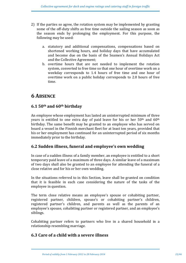- 2) If the parties so agree, the rotation system may be implemented by granting some of the off-duty shifts as free time outside the sailing season as soon as the season ends by prolonging the employment. For this purpose, the following may be used:
	- a. statutory and additional compensations, compensations based on shortened working hours, and holiday days that have accumulated and become due on the basis of the Seamen's Annual Holidays Act and the Collective Agreement;
	- b. overtime hours that are not needed to implement the rotation system, converted to free time so that one hour of overtime work on a weekday corresponds to 1.4 hours of free time and one hour of overtime work on a public holiday corresponds to 2.0 hours of free time.

# **6 ABSENCE**

# **6.1 50th and 60th birthday**

An employee whose employment has lasted an uninterrupted minimum of three years is entitled to one extra day of paid leave for his or her  $50<sup>th</sup>$  and  $60<sup>th</sup>$ birthday. The same benefit may be granted to an employee who has served on board a vessel in the Finnish merchant fleet for at least ten years, provided that his or her employment has continued for an uninterrupted period of six months immediately prior to the birthday.

# **6.2 Sudden illness, funeral and employee's own wedding**

In case of a sudden illness of a family member, an employee is entitled to a short temporary paid leave of a maximum of three days. A similar leave of a maximum of two days shall also be granted to an employee for attending the funeral of a close relative and for his or her own wedding.

In the situations referred to in this Section, leave shall be granted on condition that it is feasible in each case considering the nature of the tasks of the employee in question.

The term close relative means an employee's spouse or cohabiting partner, registered partner, children, spouse's or cohabiting partner's children, registered partner's children, and parents as well as the parents of an employee's spouse, cohabiting partner or registered partner, and an employee's siblings.

Cohabiting partner refers to partners who live in a shared household in a relationship resembling marriage.

# **6.3 Care of a child with a severe illness**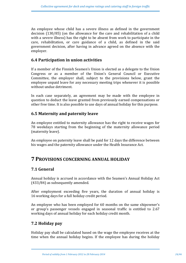An employee whose child has a severe illness as defined in the government decision  $(130/85)$  (on the allowance for the care and rehabilitation of a child with a severe illness) has the right to be absent from work to participate in the care, rehabilitation, or care guidance of a child, as defined in the said government decision, after having in advance agreed on the absence with the employer.

### **6.4 Participation in union activities**

If a member of the Finnish Seamen's Union is elected as a delegate to the Union Congress or as a member of the Union's General Council or Executive Committee, the employer shall, subject to the provisions below, grant the employee unpaid leave for any necessary meeting trips whenever it is possible without undue detriment.

In each case separately, an agreement may be made with the employee in question to deduct the leave granted from previously earned compensations or other free time. It is also possible to use days of annual holiday for this purpose.

### **6.5 Maternity and paternity leave**

An employee entitled to maternity allowance has the right to receive wages for 78 weekdays starting from the beginning of the maternity allowance period (maternity leave).

An employee on paternity leave shall be paid for 12 days the difference between his wages and the paternity allowance under the Health Insurance Act.

# **7 PROVISIONS CONCERNING ANNUAL HOLIDAY**

# **7.1 General**

Annual holiday is accrued in accordance with the Seamen's Annual Holiday Act  $(433/84)$  as subsequently amended.

After employment exceeding five years, the duration of annual holiday is 16 working days for a full holiday credit period.

An employee who has been employed for 60 months on the same shipowner's or group's passenger vessels engaged in seasonal traffic is entitled to 2.67 working days of annual holiday for each holiday credit month.

# **7.2 Holiday pay**

Holiday pay shall be calculated based on the wage the employee receives at the time when the annual holiday begins. If the employee has during the holiday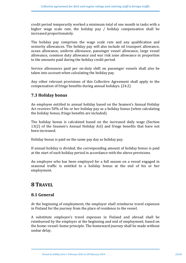credit period temporarily worked a minimum total of one month in tasks with a higher wage scale rate, the holiday pay  $/$  holiday compensation shall be increased proportionately.

The holiday pay comprises the wage scale rate and any qualification and seniority allowances. The holiday pay will also include oil transport allowance, ocean allowance, uniform allowance, passenger vessel allowance, large vessel allowance, common duty allowance and war risk zone allowance in proportion to the amounts paid during the holiday credit period.

Service allowances paid per on-duty shift on passenger vessels shall also be taken into account when calculating the holiday pay.

Any other relevant provisions of this Collective Agreement shall apply to the compensation of fringe benefits during annual holidays. (24.2)

# **7.3 Holiday bonus**

An employee entitled to annual holiday based on the Seamen's Annual Holiday Act receives  $50\%$  of his or her holiday pay as a holiday bonus (when calculating the holiday bonus, fringe benefits are included).

The holiday bonus is calculated based on the increased daily wage (Section 13(2) of the Seamen's Annual Holiday Act) and fringe benefits that have not been increased.

Holiday bonus is paid on the same pay day as holiday pay.

If annual holiday is divided, the corresponding amount of holiday bonus is paid at the start of each holiday period in accordance with the above provisions.

An employee who has been employed for a full season on a vessel engaged in seasonal traffic is entitled to a holiday bonus at the end of his or her employment.

# **8 TRAVEL**

# **8.1 General**

At the beginning of employment, the employer shall reimburse travel expenses in Finland for the journey from the place of residence to the vessel.

A substitute employee's travel expenses in Finland and abroad shall be reimbursed by the employer at the beginning and end of employment, based on the home–vessel–home principle. The homeward journey shall be made without undue delay.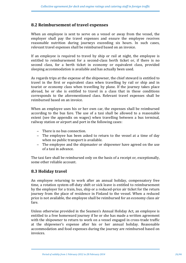# **8.2 Reimbursement of travel expenses**

When an employee is sent to serve on a vessel or away from the vessel, the employer shall pay the travel expenses and ensure the employee receives reasonable nutrition during journeys exceeding six hours. In such cases, relevant travel expenses shall be reimbursed based on an invoice.

If an employee is required to travel by ship or rail at night, the employee is entitled to reimbursement for a second-class berth ticket or, if there is no second class, for a berth ticket in economy or equivalent class, provided sleeping accommodation is available and has actually been used.

As regards trips at the expense of the shipowner, the chief steward is entitled to travel in the first or equivalent class when travelling by rail or ship and in tourist or economy class when travelling by plane. If the journey takes place abroad, he or she is entitled to travel in a class that in those conditions corresponds to the aforementioned class. Relevant travel expenses shall be reimbursed based on an invoice.

When an employee uses his or her own car, the expenses shall be reimbursed according to the bus fare. The use of a taxi shall be allowed to a reasonable extent (see the appendix on wages) when travelling between a bus terminal, railway station or airport and port in the following cases:

- − There is no bus connection.
- − The employee has been asked to return to the vessel at a time of day when no public transport is available.
- − The employee and the shipmaster or shipowner have agreed on the use of a taxi in advance.

The taxi fare shall be reimbursed only on the basis of a receipt or, exceptionally, some other reliable account.

### **8.3 Holiday travel**

An employee returning to work after an annual holiday, compensatory free time, a rotation system off-duty shift or sick leave is entitled to reimbursement by the employer for a train, bus, ship or a reduced-price air ticket for the return journey from the place of residence in Finland to the vessel. When a reduced price is not available, the employee shall be reimbursed for an economy class air fare.

Unless otherwise provided in the Seamen's Annual Holiday Act, an employee is entitled to a free homeward journey if he or she has made a written agreement with the shipowner to return to work on a vessel engaged in cross-trade traffic at the shipowner's expense after his or her annual holiday. Reasonable accommodation and food expenses during the journey are reimbursed based on invoices.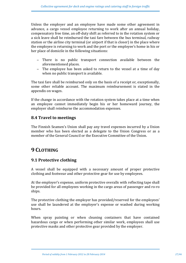Unless the employer and an employee have made some other agreement in advance, a cargo vessel employee returning to work after an annual holiday, compensatory free time, an off-duty shift as referred to in the rotation system or a sick leave shall be reimbursed the taxi fare between the bus terminal, railway station or the airline city terminal (or airport if that is closer) in the place where the employee is returning to work and the port or the employee's home in his or her place of domicile in the following situations:

- − There is no public transport connection available between the aforementioned places.
- − The employee has been asked to return to the vessel at a time of day when no public transport is available.

The taxi fare shall be reimbursed only on the basis of a receipt or, exceptionally, some other reliable account. The maximum reimbursement is stated in the appendix on wages.

If the change in accordance with the rotation system takes place at a time when an employee cannot immediately begin his or her homeward journey, the employer shall reimburse the accommodation expenses.

# **8.4 Travel to meetings**

The Finnish Seamen's Union shall pay any travel expenses incurred by a Union member who has been elected as a delegate to the Union Congress or as a member of the General Council or the Executive Committee of the Union.

# **9 CLOTHING**

### **9.1 Protective clothing**

A vessel shall be equipped with a necessary amount of proper protective clothing and footwear and other protective gear for use by employees.

At the employer's expense, uniform protective overalls with reflecting tape shall be provided for all employees working in the cargo areas of passenger and ro-ro ships.

The protective clothing the employer has provided/reserved for the employees' use shall be laundered at the employer's expense or washed during working hours.

When spray painting or when cleaning containers that have contained hazardous cargo or when performing other similar work, employees shall use protective masks and other protective gear provided by the employer.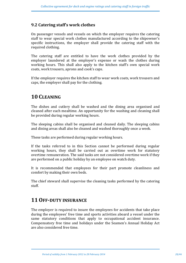# **9.2 Catering staff's work clothes**

On passenger vessels and vessels on which the employer requires the catering staff to wear special work clothes manufactured according to the shipowner's specific instructions, the employer shall provide the catering staff with the required clothing.

The catering staff are entitled to have the work clothes provided by the employer laundered at the employer's expense or wash the clothes during working hours. This shall also apply to the kitchen staff's own special work coats, work trousers, aprons and cook's caps.

If the employer requires the kitchen staff to wear work coats, work trousers and caps, the employer shall pay for the clothing.

# **10 CLEANING**

The dishes and cutlery shall be washed and the dining area organised and cleaned after each mealtime. An opportunity for the washing and cleaning shall be provided during regular working hours.

The sleeping cabins shall be organised and cleaned daily. The sleeping cabins and dining areas shall also be cleaned and washed thoroughly once a week.

These tasks are performed during regular working hours.

If the tasks referred to in this Section cannot be performed during regular working hours, they shall be carried out as overtime work for statutory overtime remuneration. The said tasks are not considered overtime work if they are performed on a public holiday by an employee on watch duty.

It is recommended that employees for their part promote cleanliness and comfort by making their own beds.

The chief steward shall supervise the cleaning tasks performed by the catering staff.

# **11 OFF-DUTY INSURANCE**

The employer is required to insure the employees for accidents that take place during the employees' free time and sports activities aboard a vessel under the same statutory conditions that apply to occupational accident insurance. Compensatory free time and holidays under the Seamen's Annual Holiday Act are also considered free time.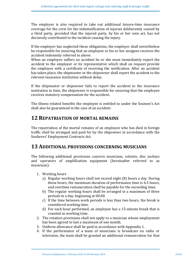The employer is also required to take out additional leisure-time insurance coverage for the crew for the indemnification of injuries deliberately caused by a third party, provided that the injured party, by his or her own act, has not decisively contributed to the incident causing the injury.

If the employer has neglected these obligations, the employer shall nevertheless be responsible for ensuring that an employee or his or her assignee receives the accident indemnity referred to above.

When an employee suffers an accident he or she must immediately report the accident to the employer or its representative which shall on request provide the employee with a certificate of receiving the notification. After an accident has taken place, the shipmaster or the shipowner shall report the accident to the relevant insurance institution without delay.

If the shipmaster or shipowner fails to report the accident to the insurance institution in time, the shipowner is responsible for ensuring that the employee receives statutory compensation for the accident.

The illness-related benefits the employee is entitled to under the Seamen's Act shall also be guaranteed in the case of an accident.

# **12 REPATRIATION OF MORTAL REMAINS**

The repatriation of the mortal remains of an employee who has died in foreign traffic shall be arranged and paid for by the shipowner in accordance with the Seafarers' Employment Contracts Act.

# **13 ADDITIONAL PROVISIONS CONCERNING MUSICIANS**

The following additional provisions concern musicians, soloists, disc jockeys and operators of amplification equipment (hereinafter referred to as musicians):

- 1. Working hours
	- a) Regular working hours shall not exceed eight (8) hours a day. During these hours, the maximum duration of performance time is 6.5 hours, and overtime remuneration shall be payable for the exceeding time.
	- b) The regular working hours shall be arranged in a maximum of three periods in a day, beginning at 00.00.
	- c) If the time between work periods is less than two hours, the break is considered working time.
	- d) For each hour performed, an employee has a 15-minute break that is counted as working time.
- 2. The rotation provisions shall not apply to a musician whose employment has been agreed to last a maximum of one month.
- 3. Uniform allowance shall be paid in accordance with Appendix 1.
- 4. If the performance of a team of musicians is broadcast on radio or television, the team shall be granted an additional remuneration for that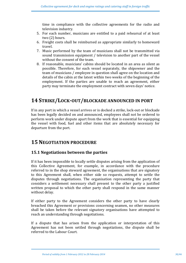time in compliance with the collective agreements for the radio and television industry.

- 5. For each number, musicians are entitled to a paid rehearsal of at least two (2) hours.
- 6. Freight costs shall be reimbursed as appropriate similarly to homeward travel.
- 7. Music performed by the team of musicians shall not be transmitted via sound transmission equipment / television to another part of the vessel without the consent of the team.
- 8. If reasonable, musicians' cabins should be located in an area as silent as possible. Therefore, for each vessel separately, the shipowner and the team of musicians / employee in question shall agree on the location and details of the cabin at the latest within two weeks of the beginning of the employment. If the parties are unable to reach an agreement, either party may terminate the employment contract with seven days' notice.

# **14 STRIKE/LOCK-OUT/BLOCKADE ANNOUNCED IN PORT**

If in any port in which a vessel arrives or is docked a strike, lock-out or blockade has been legally decided on and announced, employees shall not be ordered to perform work under dispute apart from the work that is essential for equipping the vessel with food, fuel and other items that are absolutely necessary for departure from the port.

# **15 NEGOTIATION PROCEDURE**

### **15.1 Negotiations between the parties**

If it has been impossible to locally settle disputes arising from the application of this Collective Agreement, for example, in accordance with the procedure referred to in the shop steward agreement, the organisations that are signatory to this Agreement shall, when either side so requests, attempt to settle the disputes through negotiations. The organisation representing the party that considers a settlement necessary shall present to the other party a justified written proposal to which the other party shall respond in the same manner without delay.

If either party to the Agreement considers the other party to have clearly breached this Agreement or provisions concerning seamen, no other measures shall be taken before the relevant signatory organisations have attempted to reach an understanding through negotiations.

If a dispute that has arisen from the application or interpretation of this Agreement has not been settled through negotiations, the dispute shall be referred to the Labour Court.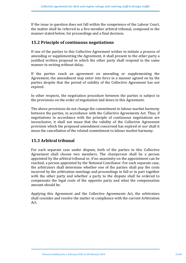If the issue in question does not fall within the competence of the Labour Court, the matter shall be referred to a five-member arbitral tribunal, composed in the manner stated below, for proceedings and a final decision.

### **15.2 Principle of continuous negotiations**

If one of the parties to this Collective Agreement wishes to initiate a process of amending or supplementing the Agreement, it shall present to the other party a justified written proposal to which the other party shall respond in the same manner in writing without delay.

If the parties reach an agreement on amending or supplementing the Agreement, the amendment may enter into force in a manner agreed on by the parties despite that the period of validity of the Collective Agreement has not expired.

In other respects, the negotiation procedure between the parties is subject to the provisions on the order of negotiation laid down in this Agreement.

The above provisions do not change the commitment to labour market harmony between the parties, in accordance with the Collective Agreements Act. Thus, if negotiations in accordance with the principle of continuous negotiations are inconclusive, it shall not mean that the validity of the Collective Agreement provision which the proposed amendment concerned has expired or nor shall it mean the cancellation of the related commitment to labour market harmony.

# **15.3 Arbitral tribunal**

For each separate case under dispute, both of the parties to this Collective Agreement shall choose two members. The chairperson shall be a person appointed by the arbitral tribunal or, if no unanimity on the appointment can be reached, a person appointed by the National Conciliator. For each separate case, the arbitrators shall determine whether one of the parties shall pay the costs incurred by the arbitration meetings and proceedings in full or in part together with the other party and whether a party to the dispute shall be ordered to compensate the legal costs of the opposite party and what the compensation amount should be.

Applying this Agreement and the Collective Agreements Act, the arbitrators shall consider and resolve the matter in compliance with the current Arbitration Act.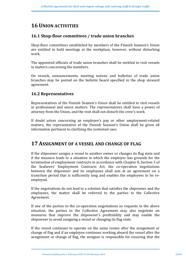# **16 UNION ACTIVITIES**

# **16.1 Shop-floor committees / trade union branches**

Shop-floor committees established by members of the Finnish Seamen's Union are entitled to hold meetings at the workplace, however, without disturbing work.

The appointed officials of trade union branches shall be entitled to visit vessels in matters concerning the members.

On vessels, announcements, meeting notices and bulletins of trade union branches may be posted on the bulletin board specified in the shop steward agreement.

### **16.2 Representatives**

Representatives of the Finnish Seamen's Union shall be entitled to visit vessels in professional and union matters. The representatives shall have a power of attorney from the Union, and the visit shall not disturb the crew's work.

If doubt arises concerning an employee's pay or other employment-related matters, the representative of the Finnish Seamen's Union shall be given all information pertinent to clarifying the contested case.

# **17 ASSIGNMENT OF A VESSEL AND CHANGE OF FLAG**

If the shipowner assigns a vessel to another owner or changes its flag state and if the measure leads to a situation in which the employer has grounds for the termination of employment contracts in accordance with Chapter 8, Section 3 of the Seafarers' Employment Contracts Act, the co-operation negotiations between the shipowner and its employees shall aim at an agreement on a transition period that is sufficiently long and enables the employees to be reemployed.

If the negotiations do not lead to a solution that satisfies the shipowner and the employees, the matter shall be referred to the parties to the Collective Agreement.

If one of the parties to the co-operation negotiations so requests in the above situation, the parties to the Collective Agreement may also negotiate on measures that improve the shipowner's profitability and may enable the shipowner to avoid assigning a vessel or changing its flag state.

If the vessel continues to operate on the same routes after the assignment or change of flag and if an employee continues working aboard the vessel after the assignment or change of flag, the assignor is responsible for ensuring that the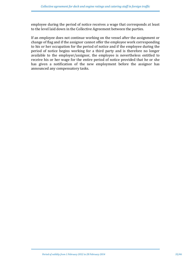employee during the period of notice receives a wage that corresponds at least to the level laid down in the Collective Agreement between the parties.

If an employee does not continue working on the vessel after the assignment or change of flag and if the assignor cannot offer the employee work corresponding to his or her occupation for the period of notice and if the employee during the period of notice begins working for a third party and is therefore no longer available to the employer/assignor, the employee is nevertheless entitled to receive his or her wage for the entire period of notice provided that he or she has given a notification of the new employment before the assignor has announced any compensatory tasks.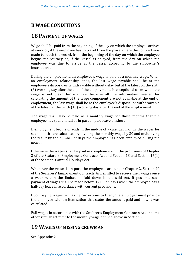# **B WAGE CONDITIONS**

# **18 PAYMENT OF WAGES**

Wage shall be paid from the beginning of the day on which the employee arrives at work or, if the employee has to travel from the place where the contract was made to reach the vessel, from the beginning of the day on which the employee begins the journey or, if the vessel is delayed, from the day on which the employee was due to arrive at the vessel according to the shipowner's instructions.

During the employment, an employee's wage is paid as a monthly wage. When an employment relationship ends, the last wage payable shall be at the employee's disposal or withdrawable without delay but at the latest on the sixth (6) working day after the end of the employment. In exceptional cases when the wage is not clear, for example, because all the information needed for calculating the amount of the wage component are not available at the end of employment, the last wage shall be at the employee's disposal or withdrawable at the latest on the tenth  $(10)$  working day after the end of the employment.

The wage shall also be paid as a monthly wage for those months that the employee has spent in full or in part on paid leave on shore.

If employment begins or ends in the middle of a calendar month, the wages for such months are calculated by dividing the monthly wage by 30 and multiplying the result by the number of days the employee has been employed during the month.

Otherwise the wages shall be paid in compliance with the provisions of Chapter 2 of the Seafarers' Employment Contracts Act and Section 13 and Section 15(1) of the Seamen's Annual Holidays Act.

Whenever the vessel is in port, the employees are, under Chapter 2, Section 20 of the Seafarers' Employment Contracts Act, entitled to receive their wages once a week within the limitations laid down in the said Act. If possible, such payment of wages shall be made before 12.00 on days when the employee has a half-day leave in accordance with current provisions.

Upon paying wages or making corrections to them, the employer must provide the employee with an itemisation that states the amount paid and how it was calculated. 

Full wages in accordance with the Seafarer's Employment Contracts Act or some other similar act refer to the monthly wage defined above in Section 2.

# **19 WAGES OF MISSING CREWMAN**

See Appendix 2.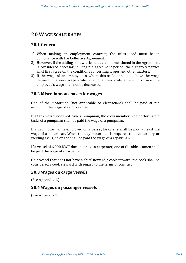# **20 WAGE SCALE RATES**

### **20.1 General**

- 1) When making an employment contract, the titles used must be in compliance with the Collective Agreement.
- 2) However, if the adding of new titles that are not mentioned in the Agreement is considered necessary during the agreement period, the signatory parties shall first agree on the conditions concerning wages and other matters.
- 3) If the wage of an employee to whom this scale applies is above the wage defined in a new wage scale when the new scale enters into force, the employee's wage shall not be decreased.

### **20.2 Miscellaneous bases for wages**

One of the motormen (not applicable to electricians) shall be paid at the minimum the wage of a donkeyman.

If a tank vessel does not have a pumpman, the crew member who performs the tasks of a pumpman shall be paid the wage of a pumpman.

If a day motorman is employed on a vessel, he or she shall be paid at least the wage of a motorman. When the day motorman is required to have turnery or welding skills, he or she shall be paid the wage of a repairman.

If a vessel of 6,000 DWT does not have a carpenter, one of the able seamen shall be paid the wage of a carpenter.

On a vessel that does not have a chief steward / cook steward, the cook shall be considered a cook steward with regard to the terms of contract.

### **20.3 Wages on cargo vessels**

(See Appendix 1.)

### **20.4 Wages on passenger vessels**

(See Appendix 1.)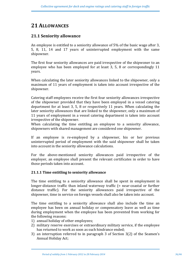# **21 ALLOWANCES**

### **21.1 Seniority allowance**

An employee is entitled to a seniority allowance of 5% of the basic wage after 3, 5, 8, 11, 14 and 17 years of uninterrupted employment with the same shipowner.

The first four seniority allowances are paid irrespective of the shipwoner to an employee who has been employed for at least 3, 5, 8 or correspondingly  $11$ years.

When calculating the later seniority allowances linked to the shipowner, only a maximum of 11 years of employment is taken into account irrespective of the shipowner.

Catering staff employees receive the first four seniority allowances irrespective of the shipowner provided that they have been employed in a vessel catering department for at least 3, 5, 8 or respectively 11 years. When calculating the later seniority allowances that are linked to the shipowner, only a maximum of 11 years of employment in a vessel catering department is taken into account irrespective of the shipowner.

When calculating the time entitling an employee to a seniority allowance, shipowners with shared management are considered one shipowner.

If an employee is re-employed by a shipowner, his or her previous uninterrupted period of employment with the said shipowner shall be taken into account in the seniority allowance calculations.

For the above-mentioned seniority allowances paid irrespective of the employer, an employee shall present the relevant certificates in order to have those periods taken into account.

### **21.1.1 Time entitling to seniority allowance**

The time entitling to a seniority allowance shall be spent in employment in longer-distance traffic than inland waterway traffic  $(=$  near-coastal or further distance traffic). For the seniority allowances paid irrespective of the shipowner, time in service on foreign vessels shall also be taken into account.

The time entitling to a seniority allowance shall also include the time an employee has been on annual holiday or compensatory leave as well as time during employment when the employee has been prevented from working for the following reasons:

- 1) annual holiday of other employees:
- 2) military reserve exercises or extraordinary military service, if the employee has returned to work as soon as such hindrance ended;
- 3) an interruption referred to in paragraph 3 of Section  $3(2)$  of the Seamen's Annual Holiday Act;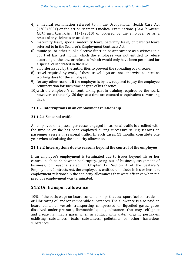- 4) a medical examination referred to in the Occupational Health Care Act (1383/2001) or the act on seamen's medical examinations (*Laki laivaväen lääkärintarkastuksista* 1171/2010) or ordered by the employer or as a result of any sickness or accident;
- 5) maternity leave, special maternity leave, paternity leave, or parental leave referred to in the Seafarer's Employment Contracts Act;
- 6) municipal or other public elective function or appearance as a witness in a court of law testimonial which the employee was not entitled to refuse according to the law, or refusal of which would only have been permitted for a special cause stated in the law:
- 7) an order issued by the authorities to prevent the spreading of a disease;
- 8) travel required by work, if these travel days are not otherwise counted as working days for the employee;
- 9) for any other reasons if the employer is by law required to pay the employee remuneration for such time despite of his absence;
- 10) with the employer's consent, taking part in training required by the work, however so that only 30 days at a time are counted as equivalent to working days.

### **21.1.2.** Interruptions in an employment relationship

### **21.1.2.1 Seasonal traffic**

An employee on a passenger vessel engaged in seasonal traffic is credited with the time he or she has been employed during successive sailing seasons on passenger vessels in seasonal traffic. In such cases, 11 months constitute one year when calculating the seniority allowance.

### **21.1.2.2** Interruptions due to reasons beyond the control of the employee

If an employee's employment is terminated due to issues beyond his or her control, such as shipowner bankruptcy, going out of business, assignment of business, or reasons stated in Chapter 12, Section 4 of the Seafarer's Employment Contracts Act, the employee is entitled to include in his or her next employment relationship the seniority allowances that were effective when the previous employment was terminated.

### **21.2 Oil transport allowance**

10% of the basic wage on board container ships that transport fuel oil, crude oil or lubricating oil and/or comparable substances. The allowance is also paid on board container vessels transporting compressed or liquefied gases, gases dissolved under pressure, flammable liquids, substances that may self-ignite and create flammable gases when in contact with water, organic peroxides, oxidising substances, toxic substances, pollutants or other hazardous substances.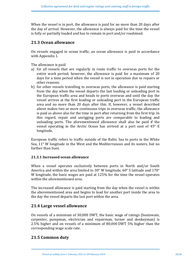When the vessel is in port, the allowance is paid for no more than 20 days after the day of arrival. However, the allowance is always paid for the time the vessel is fully or partially loaded and has to remain in port and/or roadstead.

# **21.3 Ocean allowance**

On vessels engaged in ocean traffic, an ocean allowance is paid in accordance with Appendix 1.

The allowance is paid

- a) for all vessels that are regularly in route traffic to overseas ports for the entire work period; however, the allowance is paid for a maximum of  $20$ days for a time period when the vessel is not in operation due to repairs or other reasons:
- b) for other vessels travelling to overseas ports, the allowance is paid starting from the day when the vessel departs the last loading or unloading port in the European traffic area and heads to ports overseas and until the day the vessel arrives at the first loading or unloading port in the European traffic area and no more than 20 days after this. If, however, a vessel described above makes two or more continuous trips in overseas traffic, the allowance is paid as above also for the time in port after returning from the first trip. In this regard, repair and unrigging ports are comparable to loading and unloading ports. The aforementioned allowance shall also be paid if the vessel operating in the Arctic Ocean has arrived at a port east of  $45^{\circ}$  E longitude.

European traffic refers to traffic outside of the Baltic Sea to ports in the White Sea,  $11^{\circ}$  W longitude in the West and the Mediterranean and its waters, but no further than Suez.

### **21.3.1 Increased ocean allowance**

When a vessel operates exclusively between ports in North and/or South America and within the area limited to 30 $\degree$  W longitude, 60 $\degree$  S latitude and 170 $\degree$ W longitude, the basic wages are paid at 125% for the time the vessel operates within the aforementioned area.

The increased allowance is paid starting from the day when the vessel is within the abovementioned area and begins to load for another port inside the area to the day the vessel departs the last port within the area.

### **21.4 Large vessel allowance**

On vessels of a minimum of 30,000 DWT, the basic wage of ratings (boatswain, carpenter, pumpman, electrician and repairman, turner and donkeyman) is 2.5% higher and on vessels of a minimum of  $80,000$  DWT 5% higher than the corresponding wage scale rate.

# **21.5 Common duty**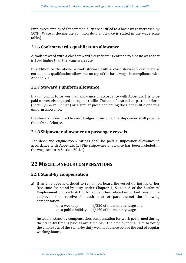Employees employed for common duty are entitled to a basic wage increased by 10%. (Wage including the common duty allowance is stated in the wage scale table.)

### **21.6 Cook steward's qualification allowance**

A cook steward with a chief steward's certificate is entitled to a basic wage that is  $10\%$  higher than the wage scale rate.

In addition to the above, a cook steward with a chief steward's certificate is entitled to a qualification allowance on top of the basic wage, in compliance with Appendix 1.

### **21.7 Steward's uniform allowance**

If a uniform is to be worn, an allowance in accordance with Appendix  $1$  is to be paid on vessels engaged in regular traffic. The use of a so-called patrol uniform (*patrullipuku* in Finnish) or a similar piece of clothing does not entitle one to a uniform allowance.

If a steward is required to wear badges or insignia, the shipowner shall provide them free of charge.

### **21.8 Shipowner allowance on passenger vessels**

The deck and engine-room ratings shall be paid a shipowner allowance in accordance with Appendix 1. (The shipowner allowance has been included in the wage scales in Section  $20.4.1$ )

# **22 MISCELLANEOUS COMPENSATIONS**

### **22.1 Stand-by compensation**

a) If an employee is ordered to remain on board the vessel during his or her free time for stand-by duty under Chapter 4, Section 6 of the Seafarers' Employment Contracts Act or for some other related important reason, the employee shall receive for each hour or part thereof the following compensation:

| on a weekday        | 1/320 of the monthly wage and |
|---------------------|-------------------------------|
| on a public holiday | 1/160 of the monthly wage.    |

Instead of stand-by compensation, compensation for work performed during the stand-by time is paid as overtime pay. The employer shall aim to notify the employees of the stand-by duty well in advance before the end of regular working hours.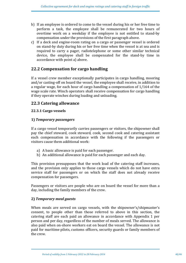- b) If an employee is ordered to come to the vessel during his or her free time to perform a task, the employee shall be remunerated for two hours of overtime work on a weekday if the employee is not entitled to stand-by compensation under the provisions of the first paragraph above.
- c) If a deck and engine-room rating on a cargo or passenger vessel is ordered on stand-by duty during his or her free time when the vessel is at sea and is required to carry a pager, radiotelephone or some other similar technical device, the employee shall be compensated for the stand-by time in accordance with point a) above.

### **22.2 Compensation for cargo handling**

If a vessel crew member exceptionally participates in cargo handling, mooring and/or casting-off on board the vessel, the employee shall receive, in addition to a regular wage, for each hour of cargo handling a compensation of  $1/164$  of the wage scale rate. Winch operators shall receive compensation for cargo handling if they operate winches during loading and unloading.

### **22.3 Catering allowance**

### **22.3.1 Cargo vessels**

### **1)** *Temporary passengers*

If a cargo vessel temporarily carries passengers or visitors, the shipowner shall pay the chief steward, cook steward, cook, second cook and catering assistant each compensation in accordance with the following if the passengers or visitors cause them additional work:

- a) A basic allowance is paid for each passenger.
- b) An additional allowance is paid for each passenger and each day.

This provision presupposes that the work load of the catering staff increases, and the provision only applies to those cargo vessels which do not have extra service staff for passengers or on which the staff does not already receive compensation for passengers.

Passengers or visitors are people who are on board the vessel for more than a day, including the family members of the crew.

### **2)** *Temporary meal guests*

When meals are served on cargo vessels, with the shipowner's/shipmaster's consent, to people other than those referred to above in this section, the catering staff are each paid an allowance in accordance with Appendix 1 per person and per day, regardless of the number of meals served. The allowance is also paid when on-shore workers eat on board the vessel. The allowance is not paid for maritime pilots, customs officers, security guards or family members of the crew.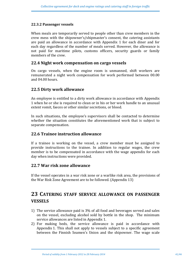### **22.3.2 Passenger vessels**

When meals are temporarily served to people other than crew members in the crew mess with the shipowner's/shipmaster's consent, the catering assistants are paid an allowance in accordance with Appendix 1 for each diner and for each day regardless of the number of meals served. However, the allowance is not paid for maritime pilots, customs officers, security guards or family members of the crew.

### **22.4 Night work compensation on cargo vessels**

On cargo vessels, when the engine room is unmanned, shift workers are remunerated a night work compensation for work performed between 00.00 and 04.00 hours.

### **22.5 Dirty work allowance**

An employee is entitled to a dirty work allowance in accordance with Appendix 1 when he or she is required to clean or in his or her work handle to an unusual extent vomit, faeces or other similar secretions, or blood.

In such situations, the employee's supervisors shall be contacted to determine whether the situation constitutes the aforementioned work that is subject to separate compensation.

### **22.6 Trainee instruction allowance**

If a trainee is working on the vessel, a crew member must be assigned to provide instructions to the trainee. In addition to regular wages, the crew member is to be compensated in accordance with the wage appendix for each day when instructions were provided.

### **22.7 War risk zone allowance**

If the vessel operates in a war risk zone or a warlike risk area, the provisions of the War Risk Zone Agreement are to be followed. (Appendix 13)

# **23 CATERING STAFF SERVICE ALLOWANCE ON PASSENGER VESSELS**

- 1) The service allowance paid is 3% of all food and beverages served and sales on the vessel, excluding alcohol sold by bottle in the shop. The minimum service allowances are listed in Appendix 1.
- 2) For making beds, the service allowance is paid in accordance with Appendix 1. This shall not apply to vessels subject to a specific agreement between the Finnish Seamen's Union and the shipowner. The wage scale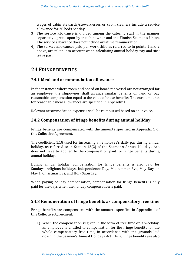wages of cabin stewards/stewardesses or cabin cleaners include a service allowance for 20 beds per day.

- 3) The service allowance is divided among the catering staff in the manner separately agreed upon by the shipowner and the Finnish Seamen's Union. The service allowance does not include overtime remuneration.
- 4) The service allowances paid per work shift, as referred to in points 1 and 2 above, are taken into account when calculating annual holiday pay and sick leave pay.

# **24 FRINGE BENEFITS**

### **24.1 Meal and accommodation allowance**

In the instances where room and board on board the vessel are not arranged for an employee, the shipowner shall arrange similar benefits on land or pay reasonable compensation equal to the value of these benefits. The euro amounts for reasonable meal allowances are specified in Appendix 1.

Relevant accommodation expenses shall be reimbursed based on an invoice.

### **24.2 Compensation of fringe benefits during annual holiday**

Fringe benefits are compensated with the amounts specified in Appendix 1 of this Collective Agreement.

The coefficient 1.18 used for increasing an employee's daily pay during annual holiday, as referred to in Section 13(2) of the Seamen's Annual Holidays Act, does not have to applied to the compensation paid for fringe benefits during annual holiday.

During annual holiday, compensation for fringe benefits is also paid for Sundays, religious holidays, Independence Day, Midsummer Eve, May Day on May 1, Christmas Eve, and Holy Saturday.

When paying holiday compensation, compensation for fringe benefits is only paid for the days when the holiday compensation is paid.

### **24.3 Remuneration of fringe benefits as compensatory free time**

Fringe benefits are compensated with the amounts specified in Appendix 1 of this Collective Agreement.

1) When the compensation is given in the form of free time on a weekday, an employee is entitled to compensation for the fringe benefits for the whole compensatory free time, in accordance with the grounds laid down in the Seamen's Annual Holidays Act. Thus, fringe benefits are also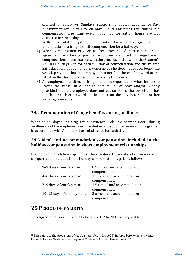granted for Saturdays, Sundays, religious holidays, Independence Day, Midsummer Eve, May Day on May 1 and Christmas Eve during the compensatory free time even though compensation hours are not deducted for these days.

Within the rotation system, compensation for a half-day given as free time entitles to a fringe benefit compensation for a half-day.

- 2) When compensation is given as free time in a domestic port or, on agreement, in a foreign port, an employee is entitled to fringe benefit compensation, in accordance with the grounds laid down in the Seamen's Annual Holidays Act, for each full day of compensation and the related Saturdays and public holidays when he or she does not eat on board the vessel, provided that the employee has notified the chief steward at the latest on the day before his or her working time ends.
- 3) An employee is entitled to fringe benefit compensation when he or she leaves the vessel in a Finnish port for a Saturday and/or Sunday provided that the employee does not eat on board the vessel and has notified the chief steward at the latest on the day before his or her working time ends.

# **24.4 Remuneration of fringe benefits during an illness**

When an employee has a right to subsistence under the Seamen's  $Act<sup>1</sup>$  during an illness and the employee is not treated in a hospital, remuneration is granted in accordance with Appendix 1 as subsistence for each day.

# **24.5 Meal and accommodation compensation included in the holiday compensation in short employment relationships**

In employment relationships of less than 14 days, the meal and accommodation compensation included in the holiday compensation is paid as follows:

| 1-3 days of employment   | 0.5 x meal and accommodation |
|--------------------------|------------------------------|
|                          | compensation                 |
| 4-6 days of employment   | 1 x meal and accommodation   |
|                          | compensation                 |
| 7-9 days of employment   | 1.5 x meal and accommodation |
|                          | compensation                 |
| 10-13 days of employment | 2 x meal and accommodation   |
|                          | compensation                 |

# **25 PERIOD OF VALIDITY**

 

This Agreement is valid from 1 February 2012 to 28 February 2014.

<sup>&</sup>lt;sup>1)</sup> This refers to the provisions of the Seamen's Act  $(423/1978)$  in force before the entry into force of the new Seafarers' Employment Contracts Act on 8 November 2011.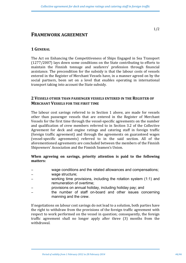# **FRAMEWORK AGREEMENT**

### **1 GENERAL**

The Act on Enhancing the Competitiveness of Ships Engaged in Sea Transport  $(1277/2007)$  lays down some conditions on the State contributing to efforts to maintain the Finnish tonnage and seafarers' profession through financial assistance. The precondition for the subsidy is that the labour costs of vessels entered in the Register of Merchant Vessels have, in a manner agreed on by the social partners, been set on a level that enables operating in international transport taking into account the State subsidy.

### **2 VESSELS OTHER THAN PASSENGER VESSELS ENTERED IN THE REGISTER OF MERCHANT VESSELS FOR THE FIRST TIME**

The labour cost savings referred to in Section 1 above, are made for vessels other than passenger vessels that are entered in the Register of Merchant Vessels for the first time through the vessel-specific agreements on the number and qualification of crew members referred to in Section 3.2 of the Collective Agreement for deck and engine ratings and catering staff in foreign traffic (foreign traffic agreement) and through the agreements on guaranteed wages (vessel-specific agreements) referred to in the said section. All of the aforementioned agreements are concluded between the members of the Finnish Shipowners' Association and the Finnish Seamen's Union.

### When agreeing on savings, priority attention is paid to the following **matters:**

- wage conditions and the related allowances and compensations;
- − wage structure;
- working time provisions, including the rotation system (1:1) and remuneration of overtime;
- provisions on annual holiday, including holiday pay; and
- the number of staff on-board and other issues concerning manning and the crew.

If negotiations on labour cost savings do not lead to a solution, both parties have the right to withdraw from the provisions of the foreign traffic agreement with respect to work performed on the vessel in question; consequently, the foreign traffic agreement shall no longer apply after three (3) months from the withdrawal.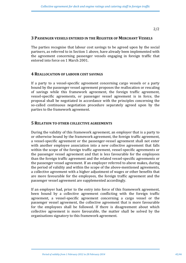#### 2/2

#### **3 PASSENGER VESSELS ENTERED IN THE REGISTER OF MERCHANT VESSELS**

The parties recognise that labour cost savings to be agreed upon by the social partners, as referred to in Section 1 above, have already been implemented with the agreement concerning passenger vessels engaging in foreign traffic that entered into force on 1 March 2001.

### **4 REALLOCATION OF LABOUR COST SAVINGS**

If a party to a vessel-specific agreement concerning cargo vessels or a party bound by the passenger vessel agreement proposes the reallocation or rescaling of savings while this framework agreement, the foreign traffic agreement, vessel-specific agreements, or passenger vessel agreement is in force, the proposal shall be negotiated in accordance with the principles concerning the so-called continuous negotiation procedure separately agreed upon by the parties to the framework agreement.

#### **5 RELATION TO OTHER COLLECTIVE AGREEMENTS**

During the validity of this framework agreement, an employer that is a party to or otherwise bound by the framework agreement, the foreign traffic agreement, a vessel-specific agreement or the passenger-vessel agreement shall not enter with another employee association into a new collective agreement that falls within the scope of the foreign traffic agreement, vessel-specific agreements or the passenger vessel agreement and that is less favourable for the employees than the foreign traffic agreement and the related vessel-specific agreements or the passenger vessel agreement. If an employer referred to above makes, during the period of validity and within the scope of the above-mentioned agreements, a collective agreement with a higher adjustment of wages or other benefits that are more favourable for the employees, the foreign traffic agreement and the passenger vessel agreement are supplemented accordingly.

If an employer had, prior to the entry into force of this framework agreement, been bound by a collective agreement conflicting with the foreign traffic agreement, a vessel-specific agreement concerning a cargo vessel or the passenger vessel agreement, the collective agreement that is more favourable for the employees shall be followed. If there is disagreement about which collective agreement is more favourable, the matter shall be solved by the organisations signatory to this framework agreement.